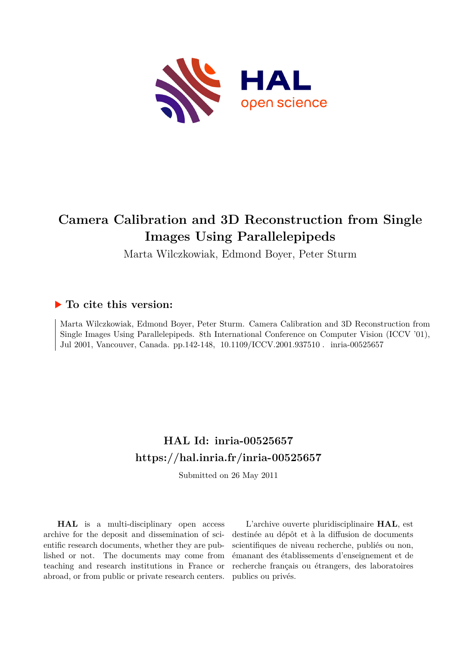

# **Camera Calibration and 3D Reconstruction from Single Images Using Parallelepipeds**

Marta Wilczkowiak, Edmond Boyer, Peter Sturm

## **To cite this version:**

Marta Wilczkowiak, Edmond Boyer, Peter Sturm. Camera Calibration and 3D Reconstruction from Single Images Using Parallelepipeds. 8th International Conference on Computer Vision (ICCV '01), Jul 2001, Vancouver, Canada. pp.142-148, 10.1109/ICCV.2001.937510. inria-00525657

# **HAL Id: inria-00525657 <https://hal.inria.fr/inria-00525657>**

Submitted on 26 May 2011

**HAL** is a multi-disciplinary open access archive for the deposit and dissemination of scientific research documents, whether they are published or not. The documents may come from teaching and research institutions in France or abroad, or from public or private research centers.

L'archive ouverte pluridisciplinaire **HAL**, est destinée au dépôt et à la diffusion de documents scientifiques de niveau recherche, publiés ou non, émanant des établissements d'enseignement et de recherche français ou étrangers, des laboratoires publics ou privés.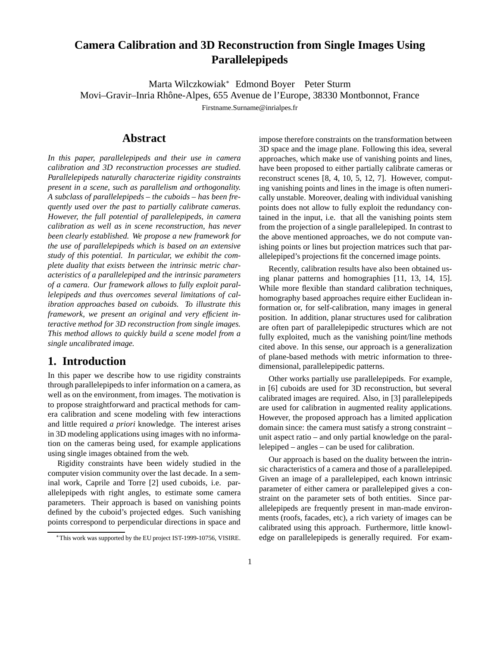# **Camera Calibration and 3D Reconstruction from Single Images Using Parallelepipeds**

Marta Wilczkowiak<sup>∗</sup> Edmond Boyer Peter Sturm Movi–Gravir–Inria Rhˆone-Alpes, 655 Avenue de l'Europe, 38330 Montbonnot, France

Firstname.Surname@inrialpes.fr

#### **Abstract**

*In this paper, parallelepipeds and their use in camera calibration and 3D reconstruction processes are studied. Parallelepipeds naturally characterize rigidity constraints present in a scene, such as parallelism and orthogonality. A subclass of parallelepipeds – the cuboids – has been frequently used over the past to partially calibrate cameras. However, the full potential of parallelepipeds, in camera calibration as well as in scene reconstruction, has never been clearly established. We propose a new framework for the use of parallelepipeds which is based on an extensive study of this potential. In particular, we exhibit the complete duality that exists between the intrinsic metric characteristics of a parallelepiped and the intrinsic parameters of a camera. Our framework allows to fully exploit parallelepipeds and thus overcomes several limitations of calibration approaches based on cuboids. To illustrate this framework, we present an original and very efficient interactive method for 3D reconstruction from single images. This method allows to quickly build a scene model from a single uncalibrated image.*

### **1. Introduction**

In this paper we describe how to use rigidity constraints through parallelepipeds to infer information on a camera, as well as on the environment, from images. The motivation is to propose straightforward and practical methods for camera calibration and scene modeling with few interactions and little required *a priori* knowledge. The interest arises in 3D modeling applications using images with no information on the cameras being used, for example applications using single images obtained from the web.

Rigidity constraints have been widely studied in the computer vision community over the last decade. In a seminal work, Caprile and Torre [2] used cuboids, i.e. parallelepipeds with right angles, to estimate some camera parameters. Their approach is based on vanishing points defined by the cuboid's projected edges. Such vanishing points correspond to perpendicular directions in space and

impose therefore constraints on the transformation between 3D space and the image plane. Following this idea, several approaches, which make use of vanishing points and lines, have been proposed to either partially calibrate cameras or reconstruct scenes [8, 4, 10, 5, 12, 7]. However, computing vanishing points and lines in the image is often numerically unstable. Moreover, dealing with individual vanishing points does not allow to fully exploit the redundancy contained in the input, i.e. that all the vanishing points stem from the projection of a single parallelepiped. In contrast to the above mentioned approaches, we do not compute vanishing points or lines but projection matrices such that parallelepiped's projections fit the concerned image points.

Recently, calibration results have also been obtained using planar patterns and homographies [11, 13, 14, 15]. While more flexible than standard calibration techniques, homography based approaches require either Euclidean information or, for self-calibration, many images in general position. In addition, planar structures used for calibration are often part of parallelepipedic structures which are not fully exploited, much as the vanishing point/line methods cited above. In this sense, our approach is a generalization of plane-based methods with metric information to threedimensional, parallelepipedic patterns.

Other works partially use parallelepipeds. For example, in [6] cuboids are used for 3D reconstruction, but several calibrated images are required. Also, in [3] parallelepipeds are used for calibration in augmented reality applications. However, the proposed approach has a limited application domain since: the camera must satisfy a strong constraint – unit aspect ratio – and only partial knowledge on the parallelepiped – angles – can be used for calibration.

Our approach is based on the duality between the intrinsic characteristics of a camera and those of a parallelepiped. Given an image of a parallelepiped, each known intrinsic parameter of either camera or parallelepiped gives a constraint on the parameter sets of both entities. Since parallelepipeds are frequently present in man-made environments (roofs, facades, etc), a rich variety of images can be calibrated using this approach. Furthermore, little knowledge on parallelepipeds is generally required. For exam-

<sup>∗</sup>This work was supported by the EU project IST-1999-10756, VISIRE.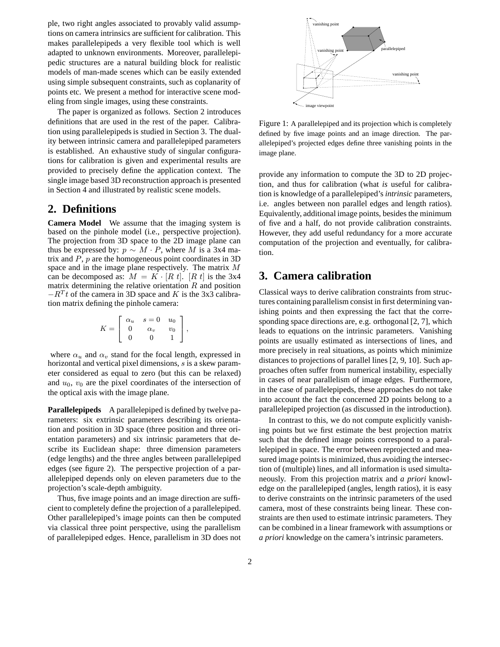ple, two right angles associated to provably valid assumptions on camera intrinsics are sufficient for calibration. This makes parallelepipeds a very flexible tool which is well adapted to unknown environments. Moreover, parallelepipedic structures are a natural building block for realistic models of man-made scenes which can be easily extended using simple subsequent constraints, such as coplanarity of points etc. We present a method for interactive scene modeling from single images, using these constraints.

The paper is organized as follows. Section 2 introduces definitions that are used in the rest of the paper. Calibration using parallelepipeds is studied in Section 3. The duality between intrinsic camera and parallelepiped parameters is established. An exhaustive study of singular configurations for calibration is given and experimental results are provided to precisely define the application context. The single image based 3D reconstruction approach is presented in Section 4 and illustrated by realistic scene models.

#### **2. Definitions**

**Camera Model** We assume that the imaging system is based on the pinhole model (i.e., perspective projection). The projection from 3D space to the 2D image plane can thus be expressed by:  $p \sim M \cdot P$ , where M is a 3x4 matrix and  $P$ ,  $p$  are the homogeneous point coordinates in 3D space and in the image plane respectively. The matrix M can be decomposed as:  $M = K \cdot [R \ t]$ .  $[R \ t]$  is the 3x4 matrix determining the relative orientation  $R$  and position  $-R<sup>T</sup>t$  of the camera in 3D space and K is the 3x3 calibration matrix defining the pinhole camera:

$$
K = \left[ \begin{array}{ccc} \alpha_u & s = 0 & u_0 \\ 0 & \alpha_v & v_0 \\ 0 & 0 & 1 \end{array} \right],
$$

where  $\alpha_u$  and  $\alpha_v$  stand for the focal length, expressed in horizontal and vertical pixel dimensions, s is a skew parameter considered as equal to zero (but this can be relaxed) and  $u_0$ ,  $v_0$  are the pixel coordinates of the intersection of the optical axis with the image plane.

**Parallelepipeds** A parallelepiped is defined by twelve parameters: six extrinsic parameters describing its orientation and position in 3D space (three position and three orientation parameters) and six intrinsic parameters that describe its Euclidean shape: three dimension parameters (edge lengths) and the three angles between parallelepiped edges (see figure 2). The perspective projection of a parallelepiped depends only on eleven parameters due to the projection's scale-depth ambiguity.

Thus, five image points and an image direction are sufficient to completely define the projection of a parallelepiped. Other parallelepiped's image points can then be computed via classical three point perspective, using the parallelism of parallelepiped edges. Hence, parallelism in 3D does not



Figure 1: A parallelepiped and its projection which is completely defined by five image points and an image direction. The parallelepiped's projected edges define three vanishing points in the image plane.

provide any information to compute the 3D to 2D projection, and thus for calibration (what *is* useful for calibration is knowledge of a parallelepiped's *intrinsic* parameters, i.e. angles between non parallel edges and length ratios). Equivalently, additional image points, besides the minimum of five and a half, do not provide calibration constraints. However, they add useful redundancy for a more accurate computation of the projection and eventually, for calibration.

### **3. Camera calibration**

Classical ways to derive calibration constraints from structures containing parallelism consist in first determining vanishing points and then expressing the fact that the corresponding space directions are, e.g. orthogonal [2, 7], which leads to equations on the intrinsic parameters. Vanishing points are usually estimated as intersections of lines, and more precisely in real situations, as points which minimize distances to projections of parallel lines [2, 9, 10]. Such approaches often suffer from numerical instability, especially in cases of near parallelism of image edges. Furthermore, in the case of parallelepipeds, these approaches do not take into account the fact the concerned 2D points belong to a parallelepiped projection (as discussed in the introduction).

In contrast to this, we do not compute explicitly vanishing points but we first estimate the best projection matrix such that the defined image points correspond to a parallelepiped in space. The error between reprojected and measured image points is minimized, thus avoiding the intersection of (multiple) lines, and all information is used simultaneously. From this projection matrix and *a priori* knowledge on the parallelepiped (angles, length ratios), it is easy to derive constraints on the intrinsic parameters of the used camera, most of these constraints being linear. These constraints are then used to estimate intrinsic parameters. They can be combined in a linear framework with assumptions or *a priori* knowledge on the camera's intrinsic parameters.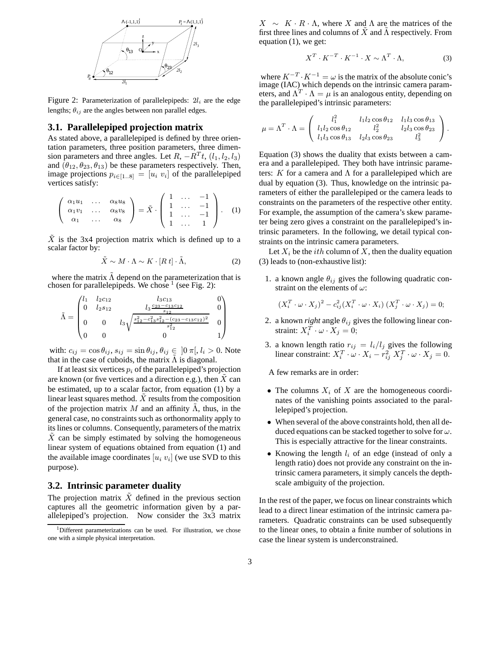

Figure 2: Parameterization of parallelepipeds:  $2l_i$  are the edge lengths;  $\theta_{ij}$  are the angles between non parallel edges.

#### **3.1. Parallelepiped projection matrix**

As stated above, a parallelepiped is defined by three orientation parameters, three position parameters, three dimension parameters and three angles. Let  $R, -R^T t, (l_1, l_2, l_3)$ and  $(\theta_{12}, \theta_{23}, \theta_{13})$  be these parameters respectively. Then, image projections  $p_{i \in [1..8]} = [u_i \ v_i]$  of the parallelepiped vertices satisfy:

$$
\left(\begin{array}{cccc}\n\alpha_1 u_1 & \dots & \alpha_8 u_8 \\
\alpha_1 v_1 & \dots & \alpha_8 v_8 \\
\alpha_1 & \dots & \alpha_8\n\end{array}\right) = \tilde{X} \cdot \left(\begin{array}{cccc}\n1 & \dots & -1 \\
1 & \dots & -1 \\
1 & \dots & -1 \\
1 & \dots & 1\n\end{array}\right). \quad (1)
$$

 $X$  is the 3x4 projection matrix which is defined up to a scalar factor by:

$$
\tilde{X} \sim M \cdot \Lambda \sim K \cdot [R \ t] \cdot \tilde{\Lambda},\tag{2}
$$

where the matrix  $\Lambda$  depend on the parameterization that is chosen for parallelepipeds. We chose  $\frac{1}{1}$  (see Fig. 2):

$$
\tilde{\Lambda} = \begin{pmatrix}\n l_1 & l_2c_{12} & l_3c_{13} & 0 \\
 0 & l_2s_{12} & l_3 \frac{c_{23} - c_{13}c_{12}}{s_{12}} & 0 \\
 0 & 0 & l_3 \sqrt{\frac{s_{12}^2 - c_{13}^2 s_{12}^2 - (c_{23} - c_{13}c_{12})^2}{s_{12}^2}} & 0 \\
 0 & 0 & 0 & 1\n \end{pmatrix}
$$

with:  $c_{ij} = \cos \theta_{ij}$ ,  $s_{ij} = \sin \theta_{ij}$ ,  $\theta_{ij} \in [0 \pi, l_i > 0]$ . Note that in the case of cuboids, the matrix  $\tilde{\Lambda}$  is diagonal.

If at least six vertices  $p_i$  of the parallelepiped's projection are known (or five vertices and a direction e.g.), then  $X$  can be estimated, up to a scalar factor, from equation (1) by a linear least squares method.  $\ddot{X}$  results from the composition of the projection matrix M and an affinity  $\tilde{\Lambda}$ , thus, in the general case, no constraints such as orthonormality apply to its lines or columns. Consequently, parameters of the matrix  $X$  can be simply estimated by solving the homogeneous linear system of equations obtained from equation (1) and the available image coordinates  $[u_i\ v_i]$  (we use SVD to this purpose).

#### **3.2. Intrinsic parameter duality**

The projection matrix  $\tilde{X}$  defined in the previous section captures all the geometric information given by a parallelepiped's projection. Now consider the 3x3 matrix

 $X \sim K \cdot R \cdot \Lambda$ , where X and  $\Lambda$  are the matrices of the first three lines and columns of  $\tilde{X}$  and  $\tilde{\Lambda}$  respectively. From equation (1), we get:

$$
X^T \cdot K^{-T} \cdot K^{-1} \cdot X \sim \Lambda^T \cdot \Lambda, \tag{3}
$$

where  $K^{-T} \cdot K^{-1} = \omega$  is the matrix of the absolute conic's image (IAC) which depends on the intrinsic camera parameters, and  $\Lambda^T \cdot \Lambda = \mu$  is an analogous entity, depending on the parallelepiped's intrinsic parameters:

$$
\mu = \Lambda^T \cdot \Lambda = \begin{pmatrix} l_1^2 & l_1 l_2 \cos \theta_{12} & l_1 l_3 \cos \theta_{13} \\ l_1 l_2 \cos \theta_{12} & l_2^2 & l_2 l_3 \cos \theta_{23} \\ l_1 l_3 \cos \theta_{13} & l_2 l_3 \cos \theta_{23} & l_3^2 \end{pmatrix}.
$$

Equation (3) shows the duality that exists between a camera and a parallelepiped. They both have intrinsic parameters: K for a camera and  $\Lambda$  for a parallelepiped which are dual by equation (3). Thus, knowledge on the intrinsic parameters of either the parallelepiped or the camera leads to constraints on the parameters of the respective other entity. For example, the assumption of the camera's skew parameter being zero gives a constraint on the parallelepiped's intrinsic parameters. In the following, we detail typical constraints on the intrinsic camera parameters.

Let  $X_i$  be the *ith* column of X, then the duality equation (3) leads to (non-exhaustive list):

1. a known angle  $\theta_{ij}$  gives the following quadratic constraint on the elements of  $\omega$ :

$$
(X_i^T \cdot \omega \cdot X_j)^2 - c_{ij}^2 (X_i^T \cdot \omega \cdot X_i) (X_j^T \cdot \omega \cdot X_j) = 0;
$$

- 2. a known *right* angle  $\theta_{ij}$  gives the following linear constraint:  $X_i^T \cdot \omega \cdot X_j = 0$ ;
- 3. a known length ratio  $r_{ij} = l_i/l_j$  gives the following linear constraint:  $X_i^T \cdot \omega \cdot X_i - r_{ij}^2 X_j^T \cdot \omega \cdot X_j = 0.$

A few remarks are in order:

- The columns  $X_i$  of X are the homogeneous coordinates of the vanishing points associated to the parallelepiped's projection.
- When several of the above constraints hold, then all deduced equations can be stacked together to solve for  $\omega$ . This is especially attractive for the linear constraints.
- Knowing the length  $l_i$  of an edge (instead of only a length ratio) does not provide any constraint on the intrinsic camera parameters, it simply cancels the depthscale ambiguity of the projection.

In the rest of the paper, we focus on linear constraints which lead to a direct linear estimation of the intrinsic camera parameters. Quadratic constraints can be used subsequently to the linear ones, to obtain a finite number of solutions in case the linear system is underconstrained.

<sup>1</sup>Different parameterizations can be used. For illustration, we chose one with a simple physical interpretation.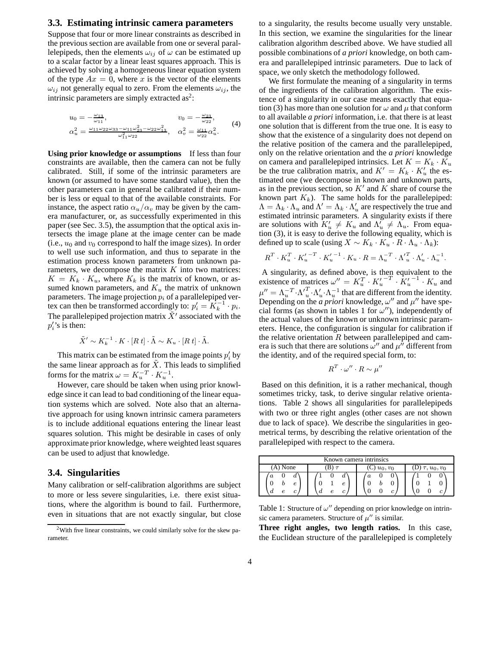#### **3.3. Estimating intrinsic camera parameters**

Suppose that four or more linear constraints as described in the previous section are available from one or several parallelepipeds, then the elements  $\omega_{ij}$  of  $\omega$  can be estimated up to a scalar factor by a linear least squares approach. This is achieved by solving a homogeneous linear equation system of the type  $Ax = 0$ , where x is the vector of the elements  $\omega_{ij}$  not generally equal to zero. From the elements  $\omega_{ij}$ , the intrinsic parameters are simply extracted as<sup>2</sup>:

$$
u_0 = -\frac{\omega_{13}}{\omega_{11}}, \qquad v_0 = -\frac{\omega_{23}}{\omega_{22}},
$$
  
\n
$$
\alpha_u^2 = \frac{\omega_{11}\omega_{22}\omega_{33} - \omega_{11}\omega_{23}^2 - \omega_{22}\omega_{13}^2}{\omega_{11}^2 \omega_{22}}, \qquad \alpha_v^2 = \frac{\omega_{11}}{\omega_{22}}\alpha_u^2.
$$
 (4)

**Using prior knowledge or assumptions** If less than four constraints are available, then the camera can not be fully calibrated. Still, if some of the intrinsic parameters are known (or assumed to have some standard value), then the other parameters can in general be calibrated if their number is less or equal to that of the available constraints. For instance, the aspect ratio  $\alpha_u/\alpha_v$  may be given by the camera manufacturer, or, as successfully experimented in this paper (see Sec. 3.5), the assumption that the optical axis intersects the image plane at the image center can be made (i.e.,  $u_0$  and  $v_0$  correspond to half the image sizes). In order to well use such information, and thus to separate in the estimation process known parameters from unknown parameters, we decompose the matrix  $K$  into two matrices:  $K = K_k \cdot K_u$ , where  $K_k$  is the matrix of known, or assumed known parameters, and  $K_u$  the matrix of unknown parameters. The image projection  $p_i$  of a parallelepiped vertex can then be transformed accordingly to:  $p'_i = K_k^{-1} \cdot p_i$ . The parallelepiped projection matrix  $\tilde{X}'$  associated with the  $p_i$ 's is then:

$$
\tilde{X}' \sim K_k^{-1} \cdot K \cdot [R \ t] \cdot \tilde{\Lambda} \sim K_u \cdot [R \ t] \cdot \tilde{\Lambda}.
$$

This matrix can be estimated from the image points  $p_i$  by the same linear approach as for  $X$ . This leads to simplified forms for the matrix  $\omega = K_u^{-T} \cdot K_u^{-1}$ .

However, care should be taken when using prior knowledge since it can lead to bad conditioning of the linear equation systems which are solved. Note also that an alternative approach for using known intrinsic camera parameters is to include additional equations entering the linear least squares solution. This might be desirable in cases of only approximate prior knowledge, where weighted least squares can be used to adjust that knowledge.

#### **3.4. Singularities**

Many calibration or self-calibration algorithms are subject to more or less severe singularities, i.e. there exist situations, where the algorithm is bound to fail. Furthermore, even in situations that are not exactly singular, but close

to a singularity, the results become usually very unstable. In this section, we examine the singularities for the linear calibration algorithm described above. We have studied all possible combinations of *a priori* knowledge, on both camera and parallelepiped intrinsic parameters. Due to lack of space, we only sketch the methodology followed.

We first formulate the meaning of a singularity in terms of the ingredients of the calibration algorithm. The existence of a singularity in our case means exactly that equation (3) has more than one solution for  $\omega$  and  $\mu$  that conform to all available *a priori* information, i.e. that there is at least one solution that is different from the true one. It is easy to show that the existence of a singularity does not depend on the relative position of the camera and the parallelepiped, only on the relative orientation and the *a priori* knowledge on camera and parallelepiped intrinsics. Let  $K = K_k \cdot K_u$ be the true calibration matrix, and  $K' = K_k \cdot K'_u$  the estimated one (we decompose in known and unknown parts, as in the previous section, so  $K'$  and  $K$  share of course the known part  $K_k$ ). The same holds for the parallelepiped:  $\Lambda = \Lambda_k \cdot \Lambda_u$  and  $\Lambda' = \Lambda_k \cdot \Lambda_u'$  are respectively the true and estimated intrinsic parameters. A singularity exists if there are solutions with  $K'_u \neq K_u$  and  $\Lambda'_u \neq \Lambda_u$ . From equation (3), it is easy to derive the following equality, which is defined up to scale (using  $X \sim K_k \cdot K_u \cdot R \cdot \Lambda_u \cdot \Lambda_k$ ):

$$
R^T \cdot K_u^T \cdot K_u^{\prime -T} \cdot K_u^{\prime -1} \cdot K_u \cdot R = \Lambda_u^{-T} \cdot {\Lambda'}_u^T \cdot {\Lambda_u^{\prime}} \cdot {\Lambda_u^{-1}}.
$$

A singularity, as defined above, is then equivalent to the existence of matrices  $\omega'' = K_u^T \cdot K_u'^{-T} \cdot K_u'^{-1} \cdot K_u$  and  $\mu'' = \Lambda_u^{-T} \cdot \Lambda_u' \cdot \Lambda_u^{-1}$  that are different from the identity. Depending on the  $\alpha$  priori knowledge,  $\omega''$  and  $\mu''$  have special forms (as shown in tables 1 for  $\omega'$ ), independently of the actual values of the known or unknown intrinsic parameters. Hence, the configuration is singular for calibration if the relative orientation  $R$  between parallelepiped and camera is such that there are solutions  $\omega''$  and  $\mu^{\hat{\mu}}$  different from the identity, and of the required special form, to:

$$
R^T\cdot\omega''\cdot R\sim\mu''
$$

Based on this definition, it is a rather mechanical, though sometimes tricky, task, to derive singular relative orientations. Table 2 shows all singularities for parallelepipeds with two or three right angles (other cases are not shown due to lack of space). We describe the singularities in geometrical terms, by describing the relative orientation of the parallelepiped with respect to the camera.

| Known camera intrinsics |                   |                           |                  |
|-------------------------|-------------------|---------------------------|------------------|
| $(A)$ None              |                   | $\mathbb{C}$ ) $u_0, v_0$ | $\tau, u_0, v_0$ |
| d<br>e<br>с             | $\it a$<br>e<br>a | $\boldsymbol{a}$          |                  |

Table 1: Structure of  $\omega''$  depending on prior knowledge on intrinsic camera parameters. Structure of  $\mu''$  is similar.

**Three right angles, two length ratios.** In this case, the Euclidean structure of the parallelepiped is completely

<sup>&</sup>lt;sup>2</sup>With five linear constraints, we could similarly solve for the skew parameter.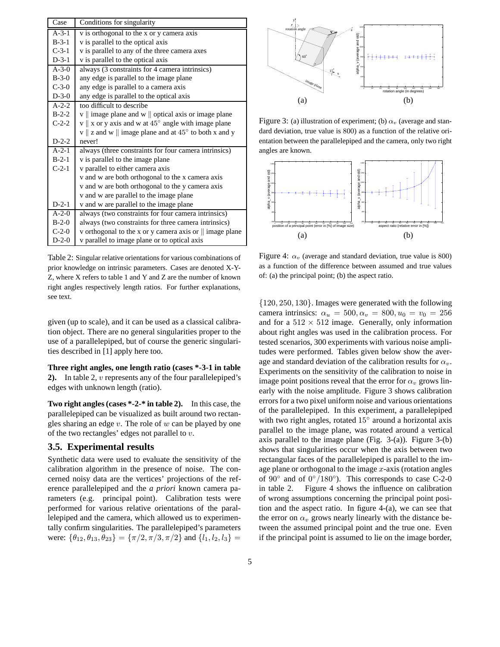| Case        | Conditions for singularity                                                                                   |
|-------------|--------------------------------------------------------------------------------------------------------------|
| $A-3-1$     | v is orthogonal to the x or y camera axis                                                                    |
| $B-3-1$     | v is parallel to the optical axis                                                                            |
| $C-3-1$     | v is parallel to any of the three camera axes                                                                |
| $D-3-1$     | v is parallel to the optical axis                                                                            |
| $A-3-0$     | always (3 constraints for 4 camera intrinsics)                                                               |
| $B-3-0$     | any edge is parallel to the image plane                                                                      |
| $C-3-0$     | any edge is parallel to a camera axis                                                                        |
| $D-3-0$     | any edge is parallel to the optical axis                                                                     |
| $A - 2 - 2$ | too difficult to describe                                                                                    |
| $B-2-2$     | $\mathbf{v}$    image plane and $\mathbf{w}$    optical axis or image plane                                  |
| $C-2-2$     | $\mathbf{v} \parallel \mathbf{x}$ or y axis and w at 45 $^{\circ}$ angle with image plane                    |
|             | $\mathbf{v} \parallel \mathbf{z}$ and $\mathbf{w} \parallel$ image plane and at 45 $\degree$ to both x and y |
| $D-2-2$     | never!                                                                                                       |
| $A-2-1$     | always (three constraints for four camera intrinsics)                                                        |
| $B-2-1$     | v is parallel to the image plane                                                                             |
| $C-2-1$     | v parallel to either camera axis                                                                             |
|             | v and w are both orthogonal to the x camera axis                                                             |
|             | v and w are both orthogonal to the y camera axis                                                             |
|             | v and w are parallel to the image plane                                                                      |
| $D-2-1$     | v and w are parallel to the image plane                                                                      |
| $A - 2 - 0$ | always (two constraints for four camera intrinsics)                                                          |
| $B-2-0$     | always (two constraints for three camera intrinsics)                                                         |
| $C-2-0$     | v orthogonal to the x or y camera axis or $\parallel$ image plane                                            |
| $D-2-0$     | v parallel to image plane or to optical axis                                                                 |

Table 2: Singular relative orientations for various combinations of prior knowledge on intrinsic parameters. Cases are denoted X-Y-Z, where X refers to table 1 and Y and Z are the number of known right angles respectively length ratios. For further explanations, see text.

given (up to scale), and it can be used as a classical calibration object. There are no general singularities proper to the use of a parallelepiped, but of course the generic singularities described in [1] apply here too.

**Three right angles, one length ratio (cases \*-3-1 in table 2).** In table 2, v represents any of the four parallelepiped's edges with unknown length (ratio).

**Two right angles (cases \*-2-\* in table 2).** In this case, the parallelepiped can be visualized as built around two rectangles sharing an edge  $v$ . The role of  $w$  can be played by one of the two rectangles' edges not parallel to  $v$ .

#### **3.5. Experimental results**

Synthetic data were used to evaluate the sensitivity of the calibration algorithm in the presence of noise. The concerned noisy data are the vertices' projections of the reference parallelepiped and the *a priori* known camera parameters (e.g. principal point). Calibration tests were performed for various relative orientations of the parallelepiped and the camera, which allowed us to experimentally confirm singularities. The parallelepiped's parameters were:  $\{\theta_{12}, \theta_{13}, \theta_{23}\} = \{\pi/2, \pi/3, \pi/2\}$  and  $\{l_1, l_2, l_3\} =$ 



Figure 3: (a) illustration of experiment; (b)  $\alpha_v$  (average and standard deviation, true value is 800) as a function of the relative orientation between the parallelepiped and the camera, only two right angles are known.



Figure 4:  $\alpha_v$  (average and standard deviation, true value is 800) as a function of the difference between assumed and true values of: (a) the principal point; (b) the aspect ratio.

{120, 250, 130}. Images were generated with the following camera intrinsics:  $\alpha_u = 500, \alpha_v = 800, u_0 = v_0 = 256$ and for a  $512 \times 512$  image. Generally, only information about right angles was used in the calibration process. For tested scenarios, 300 experiments with various noise amplitudes were performed. Tables given below show the average and standard deviation of the calibration results for  $\alpha_v$ . Experiments on the sensitivity of the calibration to noise in image point positions reveal that the error for  $\alpha_v$  grows linearly with the noise amplitude. Figure 3 shows calibration errors for a two pixel uniform noise and various orientations of the parallelepiped. In this experiment, a parallelepiped with two right angles, rotated  $15^{\circ}$  around a horizontal axis parallel to the image plane, was rotated around a vertical axis parallel to the image plane (Fig. 3-(a)). Figure 3-(b) shows that singularities occur when the axis between two rectangular faces of the parallelepiped is parallel to the image plane or orthogonal to the image  $x$ -axis (rotation angles of  $90^\circ$  and of  $0^\circ/180^\circ$ ). This corresponds to case C-2-0 in table 2. Figure 4 shows the influence on calibration of wrong assumptions concerning the principal point position and the aspect ratio. In figure 4-(a), we can see that the error on  $\alpha_v$  grows nearly linearly with the distance between the assumed principal point and the true one. Even if the principal point is assumed to lie on the image border,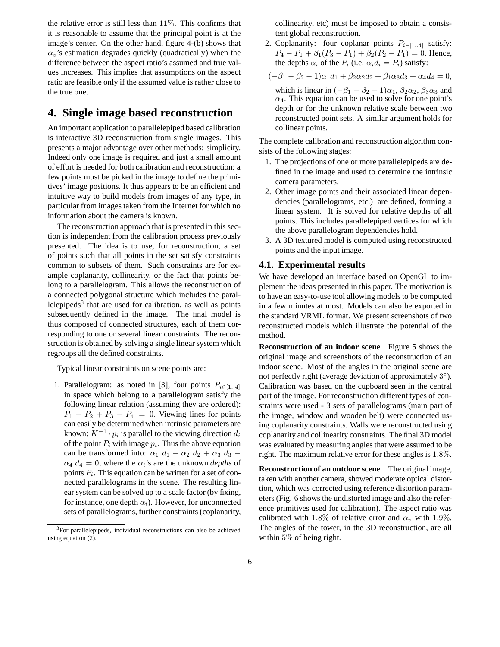the relative error is still less than  $11\%$ . This confirms that it is reasonable to assume that the principal point is at the image's center. On the other hand, figure 4-(b) shows that  $\alpha_v$ 's estimation degrades quickly (quadratically) when the difference between the aspect ratio's assumed and true values increases. This implies that assumptions on the aspect ratio are feasible only if the assumed value is rather close to the true one.

## **4. Single image based reconstruction**

An important application to parallelepiped based calibration is interactive 3D reconstruction from single images. This presents a major advantage over other methods: simplicity. Indeed only one image is required and just a small amount of effort is needed for both calibration and reconstruction: a few points must be picked in the image to define the primitives' image positions. It thus appears to be an efficient and intuitive way to build models from images of any type, in particular from images taken from the Internet for which no information about the camera is known.

The reconstruction approach that is presented in this section is independent from the calibration process previously presented. The idea is to use, for reconstruction, a set of points such that all points in the set satisfy constraints common to subsets of them. Such constraints are for example coplanarity, collinearity, or the fact that points belong to a parallelogram. This allows the reconstruction of a connected polygonal structure which includes the parallelepipeds<sup>3</sup> that are used for calibration, as well as points subsequently defined in the image. The final model is thus composed of connected structures, each of them corresponding to one or several linear constraints. The reconstruction is obtained by solving a single linear system which regroups all the defined constraints.

Typical linear constraints on scene points are:

1. Parallelogram: as noted in [3], four points  $P_{i\in[1..4]}$ in space which belong to a parallelogram satisfy the following linear relation (assuming they are ordered):  $P_1 - P_2 + P_3 - P_4 = 0$ . Viewing lines for points can easily be determined when intrinsic parameters are known:  $K^{-1} \cdot p_i$  is parallel to the viewing direction  $d_i$ of the point  $P_i$  with image  $p_i$ . Thus the above equation can be transformed into:  $\alpha_1$  d<sub>1</sub> –  $\alpha_2$  d<sub>2</sub> +  $\alpha_3$  d<sub>3</sub> –  $\alpha_4$  d<sub>4</sub> = 0, where the  $\alpha_i$ 's are the unknown *depths* of points  $P_i$ . This equation can be written for a set of connected parallelograms in the scene. The resulting linear system can be solved up to a scale factor (by fixing, for instance, one depth  $\alpha_i$ ). However, for unconnected sets of parallelograms, further constraints (coplanarity, collinearity, etc) must be imposed to obtain a consistent global reconstruction.

2. Coplanarity: four coplanar points  $P_{i \in [1..4]}$  satisfy:  $P_4 - P_1 + \beta_1 (P_3 - P_1) + \beta_2 (P_2 - P_1) = 0$ . Hence, the depths  $\alpha_i$  of the  $P_i$  (i.e.  $\alpha_i d_i = P_i$ ) satisfy:

$$
(-\beta_1 - \beta_2 - 1)\alpha_1 d_1 + \beta_2 \alpha_2 d_2 + \beta_1 \alpha_3 d_3 + \alpha_4 d_4 = 0,
$$

which is linear in  $(-\beta_1 - \beta_2 - 1)\alpha_1$ ,  $\beta_2\alpha_2$ ,  $\beta_3\alpha_3$  and  $\alpha_4$ . This equation can be used to solve for one point's depth or for the unknown relative scale between two reconstructed point sets. A similar argument holds for collinear points.

The complete calibration and reconstruction algorithm consists of the following stages:

- 1. The projections of one or more parallelepipeds are defined in the image and used to determine the intrinsic camera parameters.
- 2. Other image points and their associated linear dependencies (parallelograms, etc.) are defined, forming a linear system. It is solved for relative depths of all points. This includes parallelepiped vertices for which the above parallelogram dependencies hold.
- 3. A 3D textured model is computed using reconstructed points and the input image.

#### **4.1. Experimental results**

We have developed an interface based on OpenGL to implement the ideas presented in this paper. The motivation is to have an easy-to-use tool allowing models to be computed in a few minutes at most. Models can also be exported in the standard VRML format. We present screenshots of two reconstructed models which illustrate the potential of the method.

**Reconstruction of an indoor scene** Figure 5 shows the original image and screenshots of the reconstruction of an indoor scene. Most of the angles in the original scene are not perfectly right (average deviation of approximately  $3^\circ$ ). Calibration was based on the cupboard seen in the central part of the image. For reconstruction different types of constraints were used - 3 sets of parallelograms (main part of the image, window and wooden belt) were connected using coplanarity constraints. Walls were reconstructed using coplanarity and collinearity constraints. The final 3D model was evaluated by measuring angles that were assumed to be right. The maximum relative error for these angles is 1.8%.

**Reconstruction of an outdoor scene** The original image, taken with another camera, showed moderate optical distortion, which was corrected using reference distortion parameters (Fig. 6 shows the undistorted image and also the reference primitives used for calibration). The aspect ratio was calibrated with 1.8% of relative error and  $\alpha_v$  with 1.9%. The angles of the tower, in the 3D reconstruction, are all within 5% of being right.

<sup>&</sup>lt;sup>3</sup>For parallelepipeds, individual reconstructions can also be achieved using equation (2).